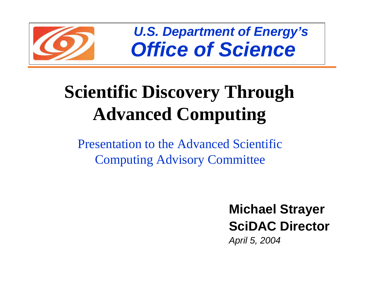

*U.S. Department of Energy's Office of Science*

# **Scientific Discovery Through Advanced Computing**

Presentation to the Advanced Scientific Computing Advisory Committee

> **Michael Strayer SciDAC Director** *April 5, 2004*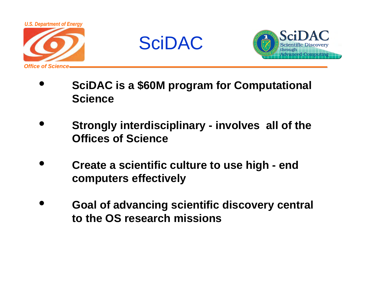





- • **SciDAC is a \$60M program for Computational Science**
- • **Strongly interdisciplinary - involves all of the Offices of Science**
- • **Create a scientific culture to use high - end computers effectively**
- • **Goal of advancing scientific discovery central to the OS research missions**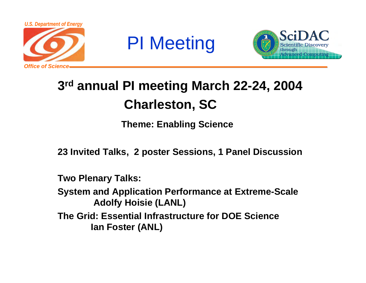

## PI Meeting



## **3rd annual PI meeting March 22-24, 2004 Charleston, SC**

**Theme: Enabling Science**

**23 Invited Talks, 2 poster Sessions, 1 Panel Discussion**

**Two Plenary Talks:**

**System and Application Performance at Extreme-Scale Adolfy Hoisie (LANL)**

**The Grid: Essential Infrastructure for DOE ScienceIan Foster (ANL)**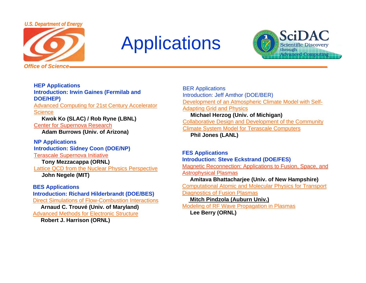#### *U.S. Department of Energy*



## **Applications**



**HEP Applications Introduction: Irwin Gaines (Fermilab and DOE/HEP)** Advanced Computing for 21st Century Accelerator <u>Science</u>

**Kwok Ko (SLAC) / Rob Ryne (LBNL)** Center for Supernova Research

**Adam Burrows (Univ. of Arizona)**

**NP Applications Introduction: Sidney Coon (DOE/NP)** Terascale Supernova Initiative **Tony Mezzacappa (ORNL)** Lattice QCD from the Nuclear Physics Perspective **John Negele (MIT)**

#### **BES Applications**

**Introduction: Richard Hilderbrandt (DOE/BES)** Direct Simulations of Flow-Combustion Interactions **Arnaud C. Trouvé (Univ. of Maryland)** Advanced Methods for Electronic Structure **Robert J. Harrison (ORNL)** 

BER Applications Introduction: Jeff Amthor (DOE/BER) Development of an Atmospheric Climate Model with Self-**Adapting Grid and Physics Michael Herzog (Univ. of Michigan)** Collaborative Design and Development of the Community Climate System Model for Terascale Computers **Phil Jones (LANL)** 

**FES Applications Introduction: Steve Eckstrand (DOE/FES)** Magnetic Reconnection: Applications to Fusion, Space, and Astrophysical Plasmas **Amitava Bhattacharjee (Univ. of New Hampshire)** Computational Atomic and Molecular Physics for Transport Diagnostics of Fusion Plasmas **Mitch Pindzola (Auburn Univ.)** Modeling of RF Wave Propagation in Plasmas **Lee Berry (ORNL)**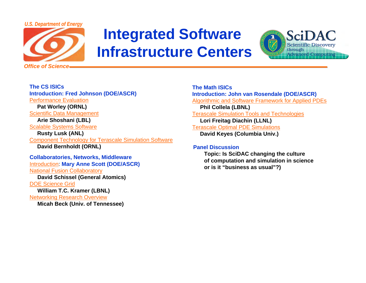

## **Integrated Software Infrastructure Centers**



**The CS ISICsIntroduction: Fred Johnson (DOE/ASCR)** Performance Evaluation**Pat Worley (ORNL)** Scientific Data Management **Arie Shoshani (LBL)** Scalable Systems Software **Rusty Lusk (ANL)** Component Technology for Terascale Simulation Software **David Bernholdt (ORNL) Collaboratories, Networks, Middleware** Introduction: **Mary Anne Scott (DOE/ASCR)** National Fusion Collaboratory **David Schissel (General Atomics)** DOE Science Grid**William T.C. Kramer (LBNL)** Networking Research Overview

**Micah Beck (Univ. of Tennessee)** 

**The Math ISICsIntroduction: John van Rosendale (DOE/ASCR)** Algorithmic and Software Framework for Applied PDEs **Phil Collela (LBNL)** Terascale Simulation Tools and Technologies **Lori Freitag Diachin (LLNL)** Terascale Optimal PDE Simulations **David Keyes (Columbia Univ.)** 

#### **Panel Discussion**

**Topic: Is SciDAC changing the culture of computation and simulation in science or is it "business as usual"?)**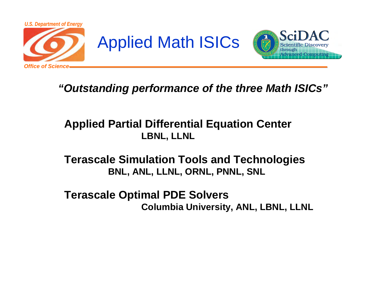





### *"Outstanding performance of the three Math ISICs"*

### –**Applied Partial Differential Equation Center LBNL, LLNL**

### –**Terascale Simulation Tools and Technologies BNL, ANL, LLNL, ORNL, PNNL, SNL**

–**Terascale Optimal PDE Solvers Columbia University, ANL, LBNL, LLNL**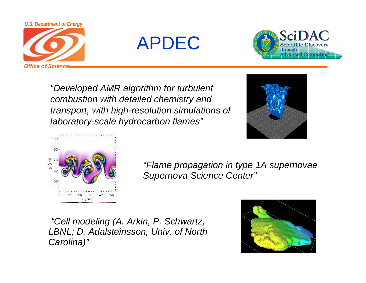

APDEC



*"Developed AMR algorithm for turbulent combustion with detailed chemistry and transport, with high-resolution simulations of laboratory-scale hydrocarbon flames"*





*"Flame propagation in type 1A supernovae Supernova Science Center"*

*"Cell modeling (A. Arkin, P. Schwartz, LBNL; D. Adalsteinsson, Univ. of North Carolina)"*

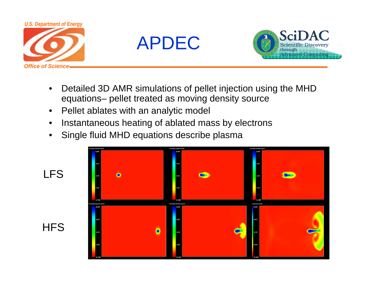





- • Detailed 3D AMR simulations of pellet injection using the MHD equations– pellet treated as moving density source
- •Pellet ablates with an analytic model
- •Instantaneous heating of ablated mass by electrons
- •Single fluid MHD equations describe plasma

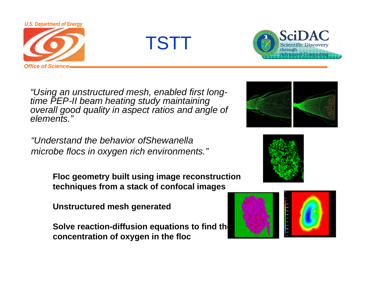

TSTT



*"Using an unstructured mesh, enabled first longtime PEP-II beam heating study maintaining overall good quality in aspect ratios and angle of elements."*

*"Understand the behavior ofShewanellamicrobe flocs in oxygen rich environments."*

> **Floc geometry built using image reconstruction techniques from a stack of confocal images**

**Unstructured mesh generated** 

**Solve reaction-diffusion equations to find the concentration of oxygen in the floc**





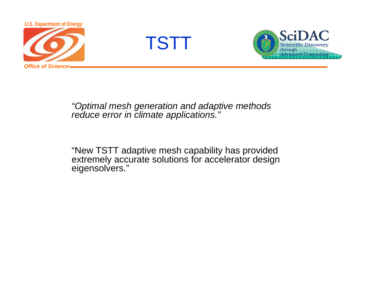

TSTT



### *"Optimal mesh generation and adaptive methods reduce error in climate applications."*

"New TSTT adaptive mesh capability has provided extremely accurate solutions for accelerator design eigensolvers."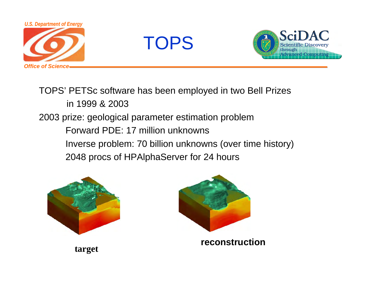





TOPS' PETSc software has been employed in two Bell Prizes in 1999 & 20032003 prize: geological parameter estimation problem Forward PDE: 17 million unknownsInverse problem: 70 billion unknowns (over time history) 2048 procs of HPAlphaServer for 24 hours





**reconstruction**

**target**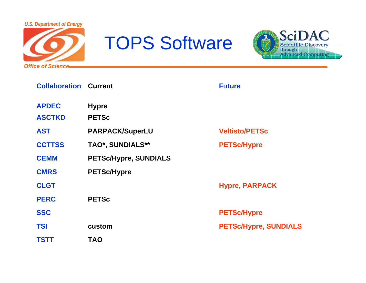

# TOPS Software



| <b>Collaboration Current</b> |                              | <b>Future</b>                |
|------------------------------|------------------------------|------------------------------|
| <b>APDEC</b>                 | <b>Hypre</b>                 |                              |
| <b>ASCTKD</b>                | <b>PETSc</b>                 |                              |
| <b>AST</b>                   | <b>PARPACK/SuperLU</b>       | <b>Veltisto/PETSc</b>        |
| <b>CCTTSS</b>                | TAO*, SUNDIALS**             | <b>PETSc/Hypre</b>           |
| <b>CEMM</b>                  | <b>PETSc/Hypre, SUNDIALS</b> |                              |
| <b>CMRS</b>                  | <b>PETSc/Hypre</b>           |                              |
| <b>CLGT</b>                  |                              | <b>Hypre, PARPACK</b>        |
| <b>PERC</b>                  | <b>PETSc</b>                 |                              |
| <b>SSC</b>                   |                              | <b>PETSc/Hypre</b>           |
| <b>TSI</b>                   | custom                       | <b>PETSc/Hypre, SUNDIALS</b> |
| <b>TSTT</b>                  | <b>TAO</b>                   |                              |